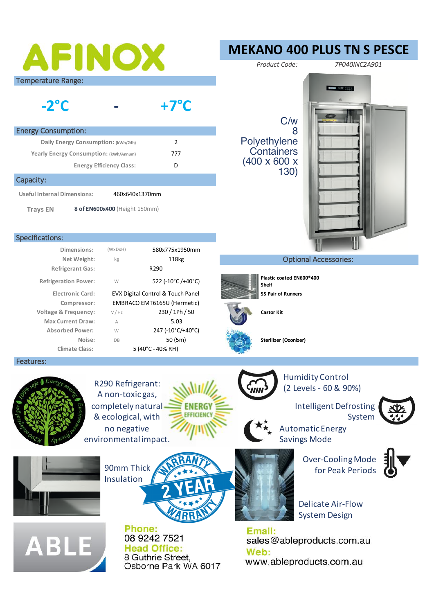# AFINOX

Temperature Range:

#### **- -2°C +7°C**

| <b>Energy Consumption:</b>             |     |  |  |
|----------------------------------------|-----|--|--|
| Daily Energy Consumption: (kWh/24h)    |     |  |  |
| Yearly Energy Consumption: (kWh/Annum) | 777 |  |  |
| <b>Energy Efficiency Class:</b>        |     |  |  |
|                                        |     |  |  |

#### Capacity:

**Useful Internal Dimensions:** 460x640x1370mm

**Trays EN** 

**8 of EN600x400** (Height 150mm)

#### Specifications:

|                            | 580x775x1950mm                    | (WxDxH)        | Dimensions:                     |
|----------------------------|-----------------------------------|----------------|---------------------------------|
|                            | 118 <sub>kg</sub>                 | kg             | Net Weight:                     |
|                            | R <sub>290</sub>                  |                | <b>Refrigerant Gas:</b>         |
| Plastic co<br><b>Shelf</b> | 522 (-10°C /+40°C)                | W              | <b>Refrigeration Power:</b>     |
| SS Pair of                 | EVX Digital Control & Touch Panel |                | <b>Electronic Card:</b>         |
|                            | EMBRACO EMT6165U (Hermetic)       |                | Compressor:                     |
| <b>Castor Kit</b>          | 230 / 1Ph / 50                    | V / Hz         | <b>Voltage &amp; Frequency:</b> |
|                            | 5.03                              | $\overline{A}$ | <b>Max Current Draw:</b>        |
|                            | 247 (-10°C/+40°C)                 | W              | <b>Absorbed Power:</b>          |
| <b>Sterilizer</b>          | 50(5m)                            | <b>DB</b>      | Noise:                          |
|                            | $5(40^{\circ}C - 40\%$ RH)        |                | <b>Climate Class:</b>           |
|                            |                                   |                |                                 |

#### Features:



R290 Refrigerant: A non-toxic gas, completely natural & ecological, with no negative environmental impact.



Humidity Control (2 Levels - 60 & 90%)

> Intelligent Defrosting System



Automatic Energy Savings Mode

Over-Cooling Mode 90mm Thick  $\left(\frac{1}{2}, \frac{1}{2}, \frac{1}{2}\right)$  for Peak Periods



Delicate Air-Flow System Design

Email: sales@ableproducts.com.au Web: www.ableproducts.com.au



Phone: 08 9242 7521 **Head Office:** 8 Guthrie Street. Osborne Park WA 6017

**EFFICIENCY** 



### **Optional Accessories:**



**Shelf ES Pair of Runners** 



**MEKANO 400 PLUS TN S PESCE**

*Product Code: 7P040INC2A901*